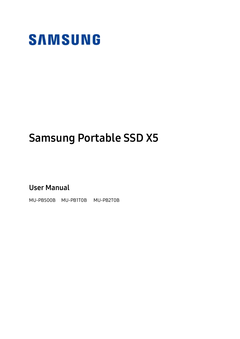

# Samsung Portable SSD X5

User Manual

MU-PB500B MU-PB1T0B MU-PB2T0B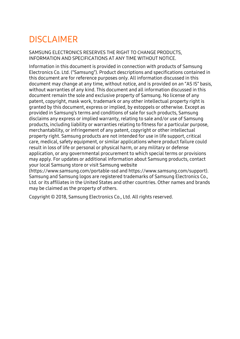## DISCLAIMER

SAMSUNG ELECTRONICS RESERVES THE RIGHT TO CHANGE PRODUCTS, INFORMATION AND SPECIFICATIONS AT ANY TIME WITHOUT NOTICE.

Information in this document is provided in connection with products of Samsung Electronics Co. Ltd. ("Samsung"). Product descriptions and specifications contained in this document are for reference purposes only. All information discussed in this document may change at any time, without notice, and is provided on an "AS IS" basis, without warranties of any kind. This document and all information discussed in this document remain the sole and exclusive property of Samsung. No license of any patent, copyright, mask work, trademark or any other intellectual property right is granted by this document, express or implied, by estoppels or otherwise. Except as provided in Samsung's terms and conditions of sale for such products, Samsung disclaims any express or implied warranty, relating to sale and/or use of Samsung products, including liability or warranties relating to fitness for a particular purpose, merchantability, or infringement of any patent, copyright or other intellectual property right. Samsung products are not intended for use in life support, critical care, medical, safety equipment, or similar applications where product failure could result in loss of life or personal or physical harm, or any military or defense application, or any governmental procurement to which special terms or provisions may apply. For updates or additional information about Samsung products, contact your local Samsung store or visit Samsung website

(https:/[/www.samsung.com/portable-ssd](http://www.samsung.com/portable-ssd) and https:/[/www.samsung.com/support\)](http://www.samsung.com/support). Samsung and Samsung logos are registered trademarks of Samsung Electronics Co., Ltd. or its affiliates in the United States and other countries. Other names and brands may be claimed as the property of others.

Copyright © 2018, Samsung Electronics Co., Ltd. All rights reserved.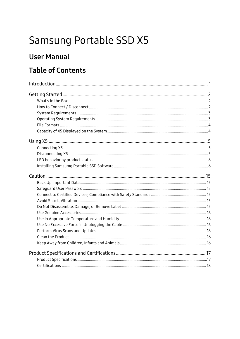# Samsung Portable SSD X5

## **User Manual**

## **Table of Contents**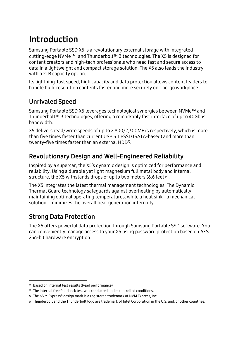## <span id="page-3-0"></span>Introduction

Samsung Portable SSD X5 is a revolutionary external storage with integrated cutting-edge NVMe™ and Thunderbolt™ 3 technologies. The X5 is designed for content creators and high-tech professionals who need fast and secure access to data in a lightweight and compact storage solution. The X5 also leads the industry with a 2TB capacity option.

Its lightning-fast speed, high capacity and data protection allows content leaders to handle high-resolution contents faster and more securely on-the-go workplace

### Unrivaled Speed

Samsung Portable SSD X5 leverages technological synergies between NVMe™ and Thunderbolt™ 3 technologies, offering a remarkably fast interface of up to 40Gbps bandwidth.

X5 delivers read/write speeds of up to 2,800/2,300MB/s respectively, which is more than five times faster than current USB 3.1 PSSD (SATA-based) and more than twenty-five times faster than an external HDD<sup>[1\)](#page-3-1)</sup>.

### Revolutionary Design and Well-Engineered Reliability

Inspired by a supercar, the X5's dynamic design is optimized for performance and reliability. Using a durable yet light magnesium full metal body and internal structure, the X5 withstands drops of up to two meters (6.6 feet) $^{2}$ ).

The X5 integrates the latest thermal management technologies. The Dynamic Thermal Guard technology safeguards against overheating by automatically maintaining optimal operating temperatures, while a heat sink - a mechanical solution - minimizes the overall heat generation internally.

### Strong Data Protection

The X5 offers powerful data protection through Samsung Portable SSD software. You can conveniently manage access to your X5 using password protection based on AES 256-bit hardware encryption.

-

<span id="page-3-1"></span><sup>1)</sup> Based on internal test results (Read performance)

<span id="page-3-2"></span> $2)$  The internal free fall shock test was conducted under controlled conditions.

<sup>※</sup> The NVM Express® design mark is a registered trademark of NVM Express, Inc.

<sup>※</sup> Thunderbolt and the Thunderbolt logo are trademark of Intel Corporation in the U.S. and/or other countries.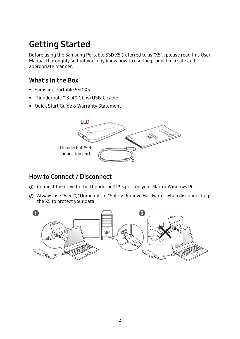## <span id="page-4-0"></span>Getting Started

Before using the Samsung Portable SSD X5 (referred to as "X5"), please read this User Manual thoroughly so that you may know how to use the product in a safe and appropriate manner.

### <span id="page-4-1"></span>What's In the Box

- Samsung Portable SSD X5
- Thunderbolt™ 3 (40 Gbps) USB-C cable
- Quick Start Guide & Warranty Statement



### <span id="page-4-2"></span>How to Connect / Disconnect

- **①** Connect the drive to the Thunderbolt™ 3 port on your Mac or Windows PC.
- **②** Always use "Eject", "Unmount" or "Safely Remove Hardware" when disconnecting the X5 to protect your data.

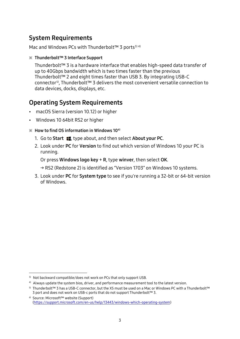### <span id="page-5-0"></span>System Requirements

Mac and Windows PCs with Thunderbolt™ 3 ports<sup>[3\)](#page-5-2) [4\)](#page-5-3)</sup>

※ Thunderbolt™ 3 Interface Support

Thunderbolt™ 3 is a hardware interface that enables high-speed data transfer of up to 40Gbps bandwidth which is two times faster than the previous Thunderbolt™ 2 and eight times faster than USB 3. By integrating USB-C connector<sup>[5\)](#page-5-4)</sup>, Thunderbolt™ 3 delivers the most convenient versatile connection to data devices, docks, displays, etc.

### <span id="page-5-1"></span>Operating System Requirements

- macOS Sierra (version 10.12) or higher
- Windows 10 64bit RS2 or higher

#### $\mathbb{X}$  How to find OS information in Windows 10<sup>[6](#page-5-5)</sup>

- 1. Go to Start  $\blacksquare$ , type about, and then select About your PC.
- 2. Look under PC for Version to find out which version of Windows 10 your PC is running.

Or press Windows logo key + R, type winver, then select OK.

- → RS2 (Redstone 2) is identified as "Version 1703" on Windows 10 systems.
- 3. Look under PC for System type to see if you're running a 32-bit or 64-bit version of Windows.

-

<span id="page-5-2"></span><sup>&</sup>lt;sup>3)</sup> Not backward compatible/does not work on PCs that only support USB.

<span id="page-5-3"></span><sup>4)</sup> Always update the system bios, driver, and performance measurement tool to the latest version.

<span id="page-5-4"></span><sup>5)</sup> Thunderbolt™ 3 has a USB-C connector, but the X5 must be used on a Mac or Windows PC with a Thunderbolt™ 3 port and does not work on USB-c ports that do not support Thunderbolt™ 3.

<span id="page-5-5"></span><sup>6)</sup> Source: Microsoft™ website (Support) [\(https://support.microsoft.com/en-us/help/13443/windows-which-operating-system\)](https://support.microsoft.com/en-us/help/13443/windows-which-operating-system)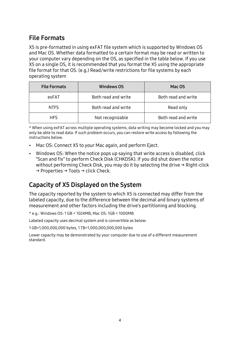### <span id="page-6-0"></span>File Formats

X5 is pre-formatted in using exFAT file system which is supported by Windows OS and Mac OS. Whether data formatted to a certain format may be read or written to your computer vary depending on the OS, as specified in the table below. If you use X5 on a single OS, it is recommended that you format the X5 using the appropriate file format for that OS. (e.g.) Read/write restrictions for file systems by each operating system

| <b>File Formats</b> | <b>Windows OS</b>   | Mac OS              |
|---------------------|---------------------|---------------------|
| exFAT               | Both read and write | Both read and write |
| <b>NTFS</b>         | Both read and write | Read only           |
| <b>HFS</b>          | Not recognizable    | Both read and write |

\* When using exFAT across multiple operating systems, data writing may become locked and you may only be able to read data. If such problem occurs, you can restore write access by following the instructions below.

- Mac OS: Connect X5 to your Mac again, and perform Eject.
- Windows OS: When the notice pops up saying that write access is disabled, click "Scan and fix" to perform Check Disk (CHKDSK). If you did shut down the notice without performing Check Disk, you may do it by selecting the drive  $\rightarrow$  Right-click → Properties → Tools → click Check.

### <span id="page-6-1"></span>Capacity of X5 Displayed on the System

The capacity reported by the system to which X5 is connected may differ from the labeled capacity, due to the difference between the decimal and binary systems of measurement and other factors including the drive's partitioning and blocking.

\* e.g.: Windows OS: 1 GB = 1024MB, Mac OS: 1GB = 1000MB

Labeled capacity uses decimal system and is convertible as below:

1 GB=1,000,000,000 bytes, 1 TB=1,000,000,000,000 bytes

Lower capacity may be demonstrated by your computer due to use of a different measurement standard.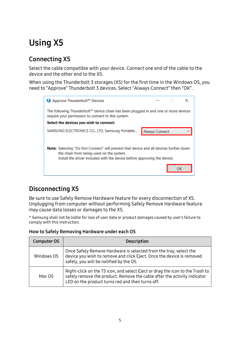## <span id="page-7-0"></span>Using X5

### <span id="page-7-1"></span>Connecting X5

Select the cable compatible with your device. Connect one end of the cable to the device and the other end to the X5.

When using the Thunderbolt 3 storages (X5) for the first time in the Windows OS, you need to "Approve" Thunderbolt 3 devices. Select "Always Connect" then "OK".



### <span id="page-7-2"></span>Disconnecting X5

Be sure to use Safely Remove Hardware feature for every disconnection of X5. Unplugging from computer without performing Safely Remove Hardware feature may cause data losses or damages to the X5.

\* Samsung shall not be liable for loss of user data or product damages caused by user's failure to comply with this instruction.

How to Safely Removing Hardware under each OS

| <b>Computer OS</b> | <b>Description</b>                                                                                                                                                                                            |
|--------------------|---------------------------------------------------------------------------------------------------------------------------------------------------------------------------------------------------------------|
| Windows OS         | Once Safely Remove Hardware is selected from the tray, select the<br>device you wish to remove and click Eject. Once the device is removed<br>safely, you will be notified by the OS.                         |
| Mac OS             | Right-click on the T5 icon, and select Eject or drag the icon to the Trash to<br>safely remove the product. Remove the cable after the activity indicator<br>LED on the product turns red and then turns off. |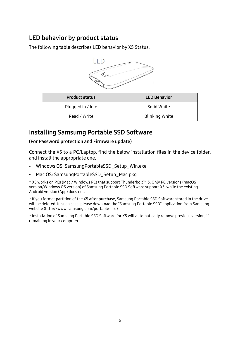### <span id="page-8-0"></span>LED behavior by product status

The following table describes LED behavior by X5 Status.



| <b>Product status</b> | <b>LED Behavior</b>   |
|-----------------------|-----------------------|
| Plugged in / Idle     | Solid White           |
| Read / Write          | <b>Blinking White</b> |

### <span id="page-8-1"></span>Installing Samsumg Portable SSD Software

#### (For Password protection and Firmware update)

Connect the X5 to a PC/Laptop, find the below installation files in the device folder, and install the appropriate one.

- Windows OS: SamsungPortableSSD\_Setup\_Win.exe
- Mac OS: SamsungPortableSSD Setup Mac.pkg

\* X5 works on PCs (Mac / Windows PC) that support Thunderbolt™ 3. Only PC versions (macOS version/Windows OS version) of Samsung Portable SSD Software support X5, while the existing Android version (App) does not.

\* If you format partition of the X5 after purchase, Samsung Portable SSD Software stored in the drive will be deleted. In such case, please download the "Samsung Portable SSD" application from Samsung website (http://www.samsung.com/portable-ssd)

\* Installation of Samsung Portable SSD Software for X5 will automatically remove previous version, if remaining in your computer.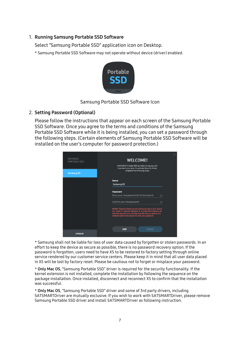#### 1. Running Samsung Portable SSD Software

Select "Samsung Portable SSD" application icon on Desktop.

\* Samsung Portable SSD Software may not operate without device (driver) enabled.



Samsung Portable SSD Software Icon

#### 2. Setting Password (Optional)

Please follow the instructions that appear on each screen of the Samsung Portable SSD Software. Once you agree to the terms and conditions of the Samsung Portable SSD Software while it is being installed, you can set a password through the following steps. (Certain elements of Samsung Portable SSD Software will be installed on the user's computer for password protection.)



\* Samsung shall not be liable for loss of user data caused by forgotten or stolen passwords. In an effort to keep the device as secure as possible, there is no password recovery option. If the password is forgotten, users need to have X5 to be restored to factory setting through online service rendered by our customer service centers. Please keep it in mind that all user data placed in X5 will be lost by factory reset. Please be cautious not to forget or misplace your password.

\* Only Mac OS, "Samsung Portable SSD" driver is required for the security functionality. If the kernel extension is not installed, complete the installation by following the sequence on the package installation. Once installed, disconnect and reconnect X5 to confirm that the installation was successful.

\* Only Mac OS, "Samsung Portable SSD" driver and some of 3rd party drivers, including SATSMARTDriver are mutually exclusive. If you wish to work with SATSMARTDriver, please remove Samsung Portable SSD driver and install SATSMARTDriver as following instruction.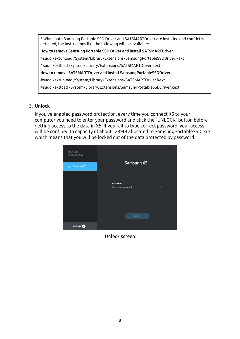\* When both Samsung Portable SSD Driver and SATSMARTDriver are installed and conflict is detected, the instructions like the following will be available:

How to remove Samsung Portable SSD Driver and install SATSMARTDriver

#sudo kextunload /System/Library/Extensions/SamsungPortableSSDDriver.kext

#sudo kextload /System/Library/Extensions/SATSMARTDriver.kext

How to remove SATSMARTDriver and install SamsungPortableSSDDriver

#sudo kextunload /System/Library/Extensions/SATSMARTDriver.kext

#sudo kextload /System/Library/Extensions/SamsungPortableSSDDriver.kext

#### 3. Unlock

If you've enabled password protection, every time you connect X5 to your computer you need to enter your password and click the "UNLOCK" button before getting access to the data in X5. If you fail to type correct password, your access will be confined to capacity of about 128MB allocated to SamsungPortableSSD.exe which means that you will be locked out of the data protected by password.



Unlock screen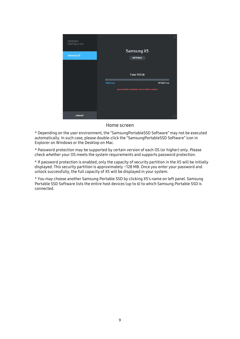

Home screen

\* Depending on the user environment, the "SamsungPortableSSD Software" may not be executed automatically. In such case, please double-click the "SamsungPortableSSD Software" icon in Explorer on Windows or the Desktop on Mac.

\* Password protection may be supported by certain version of each OS (or higher) only. Please check whether your OS meets the system requirements and supports password protection.

\* If password protection is enabled, only the capacity of security partition in the X5 will be initially displayed. This security partition is approximately ~128 MB. Once you enter your password and unlock successfully, the full capacity of X5 will be displayed in your system.

\* You may choose another Samsung Portable SSD by clicking X5's name on left panel. Samsung Portable SSD Software lists the entire host devices (up to 6) to which Samsung Portable SSD is connected.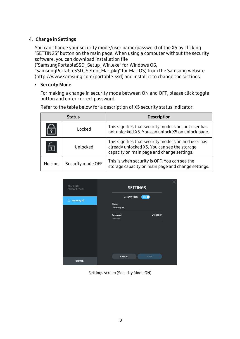#### 4. Change in Settings

You can change your security mode/user name/password of the X5 by clicking "SETTINGS" button on the main page. When using a computer without the security software, you can download installation file

("SamsungPortableSSD\_Setup\_Win.exe" for Windows OS,

"SamsungPortableSSD\_Setup\_Mac.pkg" for Mac OS) from the Samsung website (http://www.samsung.com/portable-ssd) and install it to change the settings.

• Security Mode

For making a change in security mode between ON and OFF, please click toggle button and enter correct password.

Refer to the table below for a description of X5 security status indicator.

|         | <b>Status</b>     | <b>Description</b>                                                                                                                                 |
|---------|-------------------|----------------------------------------------------------------------------------------------------------------------------------------------------|
|         | Locked            | This signifies that security mode is on, but user has<br>not unlocked X5. You can unlock X5 on unlock page.                                        |
| 6       | Unlocked          | This signifies that security mode is on and user has<br>already unlocked X5. You can see the storage<br>capacity on main page and change settings. |
| No icon | Security mode OFF | This is when security is OFF. You can see the<br>storage capacity on main page and change settings.                                                |

| SAMSUNG<br>PORTABLE SSD | <b>SETTINGS</b>              |                    |
|-------------------------|------------------------------|--------------------|
| 6 Samsung X5            | <b>Security Mode</b><br>Name | ON O               |
|                         | Samsung X5                   |                    |
|                         | Password<br>0000000          | $\triangle$ CHANGE |
|                         |                              |                    |
|                         |                              |                    |
|                         |                              |                    |
|                         |                              |                    |
| <b>UPDATE</b>           | <b>CANCEL</b>                | <b>SAVE</b>        |

Settings screen (Security Mode ON)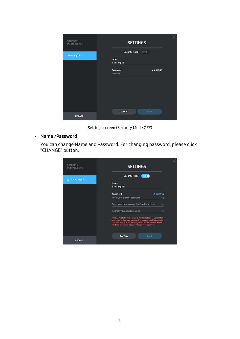| SAMSUNG<br>PORTABLE SSD | <b>SETTINGS</b>             |                              |
|-------------------------|-----------------------------|------------------------------|
| <b>Samsung X5</b>       | <b>Security Mode</b><br>OFF |                              |
|                         | <b>Name</b>                 |                              |
|                         | Samsung X5                  |                              |
|                         |                             |                              |
|                         | Password                    | $\blacktriangleright$ CHANGE |
|                         | 000000                      |                              |
|                         |                             |                              |
|                         |                             |                              |
|                         |                             |                              |
|                         |                             |                              |
|                         |                             |                              |
|                         |                             |                              |
|                         |                             |                              |
|                         |                             |                              |
|                         |                             |                              |
|                         |                             |                              |
|                         | <b>CANCEL</b>               | SAVE                         |
|                         |                             |                              |
| <b>UPDATE</b>           |                             |                              |
|                         |                             |                              |

Settings screen (Security Mode OFF)

#### • Name /Password

You can change Name and Password. For changing password, please click "CHANGE" button.

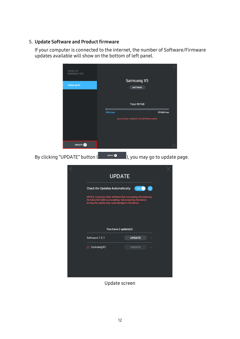#### 5. Update Software and Product firmware

If your computer is connected to the internet, the number of Software/Firmware updates available will show on the bottom of left panel.

| SAMSUNG<br><b>PORTABLE SSD</b> |                                                                                                               |
|--------------------------------|---------------------------------------------------------------------------------------------------------------|
|                                | Samsung X5                                                                                                    |
| <b>Samsung X5</b>              | <b>SETTINGS</b>                                                                                               |
|                                |                                                                                                               |
|                                | Total 931GB<br>Г                                                                                              |
|                                | <b>OGB Used</b><br>931GB Free                                                                                 |
|                                | Security Mode is Disabled. Click SETTINGS to enable                                                           |
|                                |                                                                                                               |
|                                |                                                                                                               |
| <b>UPDATE</b>                  | G)                                                                                                            |
| By clicking "UPDATE" button (  | <b>UPDATE</b><br>), you may go to update page.                                                                |
|                                |                                                                                                               |
|                                | <b>UPDATE</b>                                                                                                 |
|                                | <b>Check for Updates Automatically</b><br>ON<br>$\circ$                                                       |
|                                | NOTICE: Close any other software that is accessing the Samsung                                                |
|                                | Portable SSD before proceeding. Disconnecting the device<br>during the update may cause damage to the device. |
|                                |                                                                                                               |
|                                |                                                                                                               |
|                                | You have 2 update(s)                                                                                          |
|                                | Software 1.5.1<br><b>UPDATE</b>                                                                               |
|                                | <b>△ SamsungX5</b><br>UPDATE<br>$\checkmark$                                                                  |
|                                |                                                                                                               |
|                                |                                                                                                               |
|                                |                                                                                                               |
|                                |                                                                                                               |

Update screen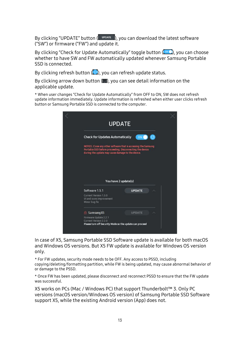By clicking "UPDATE" button  $($  UPDATE  $)$ , you can download the latest software ("SW") or firmware ("FW") and update it.

By clicking "Check for Update Automatically" toggle button  $(\circ \circ \circ)$ , you can choose whether to have SW and FW automatically updated whenever Samsung Portable SSD is connected.

By clicking refresh button  $\left( \bigcirc \right)$ , you can refresh update status.

By clicking arrow down button  $(\blacksquare)$ , you can see detail information on the applicable update.

\* When user changes "Check for Update Automatically" from OFF to ON, SW does not refresh update information immediately. Update information is refreshed when either user clicks refresh button or Samsung Portable SSD is connected to the computer.

|                                                                                                                                                                                 | <b>UPDATE</b>        |         |
|---------------------------------------------------------------------------------------------------------------------------------------------------------------------------------|----------------------|---------|
| <b>Check for Updates Automatically</b>                                                                                                                                          | ON                   | $\circ$ |
| NOTICE: Close any other software that is accessing the Samsung<br>Portable SSD before proceeding. Disconnecting the device<br>during the update may cause damage to the device. |                      |         |
|                                                                                                                                                                                 |                      |         |
|                                                                                                                                                                                 | You have 2 update(s) |         |
| Software 1.5.1                                                                                                                                                                  | <b>UPDATE</b>        |         |
| Current Version 1.5.0<br>UI and icons improvement<br>Minor bug fix                                                                                                              |                      |         |
| <b>△ Samsung X5</b>                                                                                                                                                             | <b>UPDATE</b>        |         |

In case of X5, Samsung Portable SSD Software update is available for both macOS and Windows OS versions. But X5 FW update is available for Windows OS version only.

\* For FW updates, security mode needs to be OFF. Any access to PSSD, including copying/deleting/formatting partition, while FW is being updated, may cause abnormal behavior of or damage to the PSSD.

\* Once FW has been updated, please disconnect and reconnect PSSD to ensure that the FW update was successful.

X5 works on PCs (Mac / Windows PC) that support Thunderbolt™ 3. Only PC versions (macOS version/Windows OS version) of Samsung Portable SSD Software support X5, while the existing Android version (App) does not.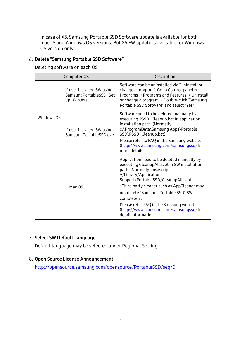In case of X5, Samsung Portable SSD Software update is available for both macOS and Windows OS versions. But X5 FW update is available for Windows OS version only.

#### 6. Delete "Samsung Portable SSD Software"

Deleting software on each OS

|            | <b>Computer OS</b>                                                 | Description                                                                                                                                                                                                                                                                                                                                                                                                  |
|------------|--------------------------------------------------------------------|--------------------------------------------------------------------------------------------------------------------------------------------------------------------------------------------------------------------------------------------------------------------------------------------------------------------------------------------------------------------------------------------------------------|
|            | If user installed SW using<br>SamsungPortableSSD_Set<br>up_Win.exe | Software can be uninstalled via "Uninstall or<br>change a program". Go to Control panel →<br>Programs → Programs and Features → Uninstall<br>or change a program → Double-click "Samsung<br>Portable SSD Software" and select "Yes"                                                                                                                                                                          |
| Windows OS | If user installed SW using<br>SamsungPortableSSD.exe               | Software need to be deleted manually by<br>executing PSSD_Cleanup.bat in application<br>installation path. (Normally<br>c:\ProgramData\Samsung Apps\Portable<br>SSD\PSSD_Cleanup.bat)<br>Please refer to FAQ in the Samsung website<br>(http://www.samsung.com/samsungssd) for<br>more details.                                                                                                              |
| Mac OS     |                                                                    | Application need to be deleted manually by<br>executing CleanupAll.scpt in SW installation<br>path. (Normally #osascript<br>~/Library/Application<br>Support/PortableSSD/CleanupAll.scpt)<br>*Third party cleaner such as AppCleaner may<br>not delete "Samsung Portable SSD" SW<br>completely.<br>Please refer FAQ in the Samsung website<br>(http://www.samsung.com/samsungssd) for<br>detail information. |

#### 7. Select SW Default Language

Default language may be selected under Regional Setting.

#### 8. Open Source License Announcement

<http://opensource.samsung.com/opensource/PortableSSD/seq/0>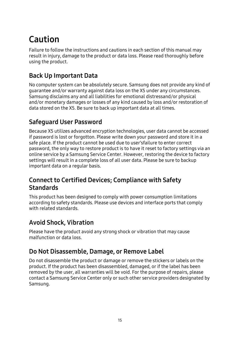## <span id="page-17-0"></span>Caution

Failure to follow the instructions and cautions in each section of this manual may result in injury, damage to the product or data loss. Please read thoroughly before using the product.

### <span id="page-17-1"></span>Back Up Important Data

No computer system can be absolutely secure. Samsung does not provide any kind of guarantee and/or warranty against data loss on the X5 under any circumstances. Samsung disclaims any and all liabilities for emotional distressand/or physical and/or monetary damages or losses of any kind caused by loss and/or restoration of data stored on the X5. Be sure to back up important data at all times.

### <span id="page-17-2"></span>Safeguard User Password

Because X5 utilizes advanced encryption technologies, user data cannot be accessed if password is lost or forgotton. Please write down your password and store it in a safe place. If the product cannot be used due to user'sfailure to enter correct password, the only way to restore product is to have it reset to factory settings via an online service by a Samsung Service Center. However, restoring the device to factory settings will result in a complete loss of all user data. Please be sure to backup important data on a regular basis.

### <span id="page-17-3"></span>Connect to Certified Devices; Compliance with Safety **Standards**

This product has been designed to comply with power consumption limitations according to safety standards. Please use devices and interface ports that comply with related standards.

### <span id="page-17-4"></span>Avoid Shock, Vibration

Please have the product avoid any strong shock or vibration that may cause malfunction or data loss.

### <span id="page-17-5"></span>Do Not Disassemble, Damage, or Remove Label

Do not disassemble the product or damage or remove the stickers or labels on the product. If the product has been disassembled, damaged, or if the label has been removed by the user, all warranties will be void. For the purpose of repairs, please contact a Samsung Service Center only or such other service providers designated by Samsung.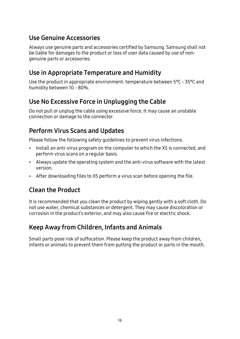### <span id="page-18-0"></span>Use Genuine Accessories

Always use genuine parts and accessories certified by Samsung. Samsung shall not be liable for damages to the product or loss of user data caused by use of nongenuine parts or accessories.

### <span id="page-18-1"></span>Use in Appropriate Temperature and Humidity

Use the product in appropriate environment: temperature between 5°C - 35°C and humidity between 10 - 80%.

### <span id="page-18-2"></span>Use No Excessive Force in Unplugging the Cable

Do not pull or unplug the cable using excessive force. It may cause an unstable connection or damage to the connector.

### <span id="page-18-3"></span>Perform Virus Scans and Updates

Please follow the following safety guidelines to prevent virus infections.

- Install an anti-virus program on the computer to which the X5 is connected, and perform virus scans on a regular basis.
- Always update the operating system and the anti-virus software with the latest version.
- After downloading files to X5 perform a virus scan before opening the file.

### <span id="page-18-4"></span>Clean the Product

It is recommended that you clean the product by wiping gently with a soft cloth. Do not use water, chemical substances or detergent. They may cause discoloration or corrosion in the product's exterior, and may also cause fire or electric shock.

### <span id="page-18-5"></span>Keep Away from Children, Infants and Animals

Small parts pose risk of suffocation. Please keep the product away from children, infants or animals to prevent them from putting the product or parts in the mouth.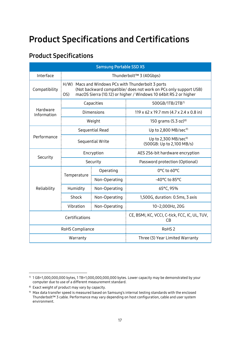## <span id="page-19-0"></span>Product Specifications and Certifications

### <span id="page-19-1"></span>Product Specifications

| <b>Samsung Portable SSD X5</b> |                                                                                                                                                                                                   |                   |                                                               |
|--------------------------------|---------------------------------------------------------------------------------------------------------------------------------------------------------------------------------------------------|-------------------|---------------------------------------------------------------|
| Interface                      |                                                                                                                                                                                                   |                   | Thunderbolt™ 3 (40Gbps)                                       |
| Compatibility                  | H/W) Macs and Windows PCs with Thunderbolt 3 ports<br>(Not backward compatible/ does not work on PCs only support USB)<br>macOS Sierra (10.12) or higher / Windows 10 64bit RS 2 or higher<br>OS) |                   |                                                               |
|                                |                                                                                                                                                                                                   | Capacities        | 500GB/1TB/2TB <sup>7)</sup>                                   |
| Hardware<br>Information        |                                                                                                                                                                                                   | <b>Dimensions</b> | 119 x 62 x 19.7 mm (4.7 x 2.4 x 0.8 in)                       |
|                                |                                                                                                                                                                                                   | Weight            | 150 grams $(5.3 oz)^{8}$                                      |
|                                |                                                                                                                                                                                                   | Sequential Read   | Up to 2,800 MB/sec <sup>9)</sup>                              |
| Performance                    | Sequential Write                                                                                                                                                                                  |                   | Up to 2,300 MB/sec <sup>9)</sup><br>(500GB: Up to 2,100 MB/s) |
|                                | Encryption                                                                                                                                                                                        |                   | AES 256-bit hardware encryption                               |
| Security                       | Security                                                                                                                                                                                          |                   | Password protection (Optional)                                |
|                                |                                                                                                                                                                                                   | Operating         | 0°C to 60°C                                                   |
|                                | Temperature                                                                                                                                                                                       | Non-Operating     | -40°C to 85°C                                                 |
| Reliability                    | Humidity                                                                                                                                                                                          | Non-Operating     | 65°C, 95%                                                     |
|                                | Shock                                                                                                                                                                                             | Non-Operating     | 1,500G, duration: 0.5ms, 3 axis                               |
|                                | Vibration                                                                                                                                                                                         | Non-Operating     | 10~2,000Hz, 20G                                               |
| Certifications                 |                                                                                                                                                                                                   |                   | CE, BSMI, KC, VCCI, C-tick, FCC, IC, UL, TUV,<br>CВ           |
|                                | RoHS Compliance                                                                                                                                                                                   |                   | RoHS <sub>2</sub>                                             |
| Warranty                       |                                                                                                                                                                                                   |                   | Three (3) Year Limited Warranty                               |

-

<span id="page-19-2"></span> $7)$  1 GB=1,000,000,000 bytes, 1 TB=1,000,000,000,000 bytes. Lower capacity may be demonstrated by your computer due to use of a different measurement standard.

<span id="page-19-3"></span><sup>8)</sup> Exact weight of product may vary by capacity.

<span id="page-19-4"></span><sup>9)</sup> Max data transfer speed is measured based on Samsung's internal testing standards with the enclosed Thunderbolt™ 3 cable. Performance may vary depending on host configuration, cable and user system environment.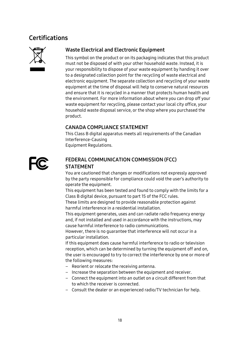### <span id="page-20-0"></span>Certifications



#### Waste Electrical and Electronic Equipment

This symbol on the product or on its packaging indicates that this product must not be disposed of with your other household waste. Instead, it is your responsibility to dispose of your waste equipment by handing it over to a designated collection point for the recycling of waste electrical and electronic equipment. The separate collection and recycling of your waste equipment at the time of disposal will help to conserve natural resources and ensure that it is recycled in a manner that protects human health and the environment. For more information about where you can drop off your waste equipment for recycling, please contact your local city office, your household waste disposal service, or the shop where you purchased the product.

#### CANADA COMPLIANCE STATEMENT

This Class B digital apparatus meets all requirements of the Canadian Interference-Causing Equipment Regulations.



#### FEDERAL COMMUNICATION COMMISSION (FCC) STATEMENT

You are cautioned that changes or modifications not expressly approved by the party responsible for compliance could void the user's authority to operate the equipment.

This equipment has been tested and found to comply with the limits for a Class B digital device, pursuant to part 15 of the FCC rules.

These limits are designed to provide reasonable protection against harmful interference in a residential installation.

This equipment generates, uses and can radiate radio frequency energy and, if not installed and used in accordance with the instructions, may cause harmful interference to radio communications.

However, there is no guarantee that interference will not occur in a particular installation.

If this equipment does cause harmful interference to radio or television reception, which can be determined by turning the equipment off and on, the user is encouraged to try to correct the interference by one or more of the following measures:

- Reorient or relocate the receiving antenna.
- Increase the separation between the equipment and receiver.
- Connect the equipment into an outlet on a circuit different from that to which the receiver is connected.
- Consult the dealer or an experienced radio/TV technician for help.